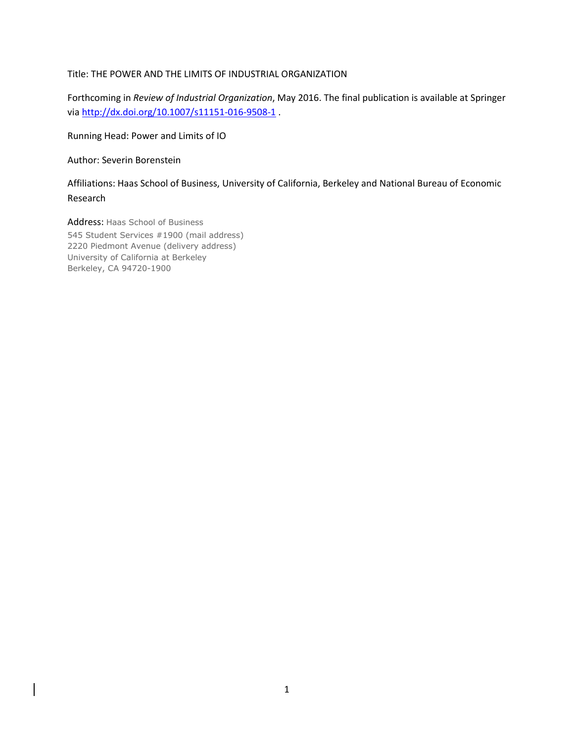## Title: THE POWER AND THE LIMITS OF INDUSTRIAL ORGANIZATION

Forthcoming in *Review of Industrial Organization*, May 2016. The final publication is available at Springer via <http://dx.doi.org/10.1007/s11151-016-9508-1>.

Running Head: Power and Limits of IO

Author: Severin Borenstein

Affiliations: Haas School of Business, University of California, Berkeley and National Bureau of Economic Research

Address: Haas School of Business 545 Student Services #1900 (mail address) 2220 Piedmont Avenue (delivery address) University of California at Berkeley Berkeley, CA 94720-1900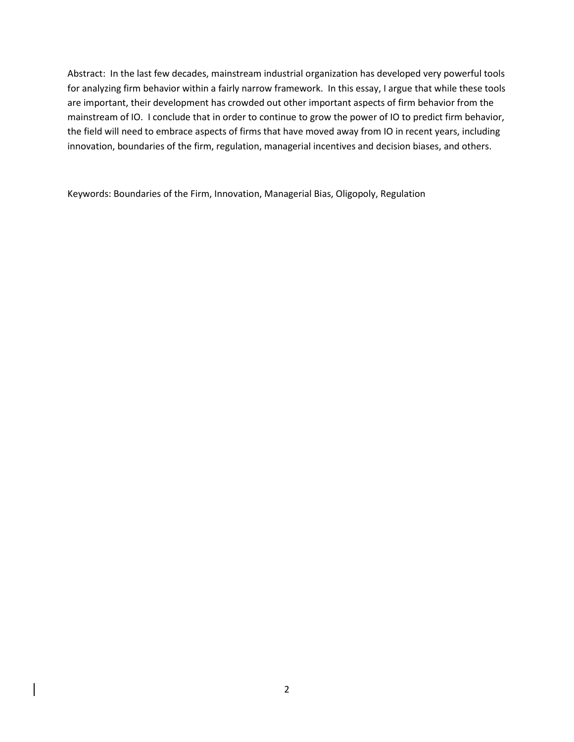Abstract: In the last few decades, mainstream industrial organization has developed very powerful tools for analyzing firm behavior within a fairly narrow framework. In this essay, I argue that while these tools are important, their development has crowded out other important aspects of firm behavior from the mainstream of IO. I conclude that in order to continue to grow the power of IO to predict firm behavior, the field will need to embrace aspects of firms that have moved away from IO in recent years, including innovation, boundaries of the firm, regulation, managerial incentives and decision biases, and others.

Keywords: Boundaries of the Firm, Innovation, Managerial Bias, Oligopoly, Regulation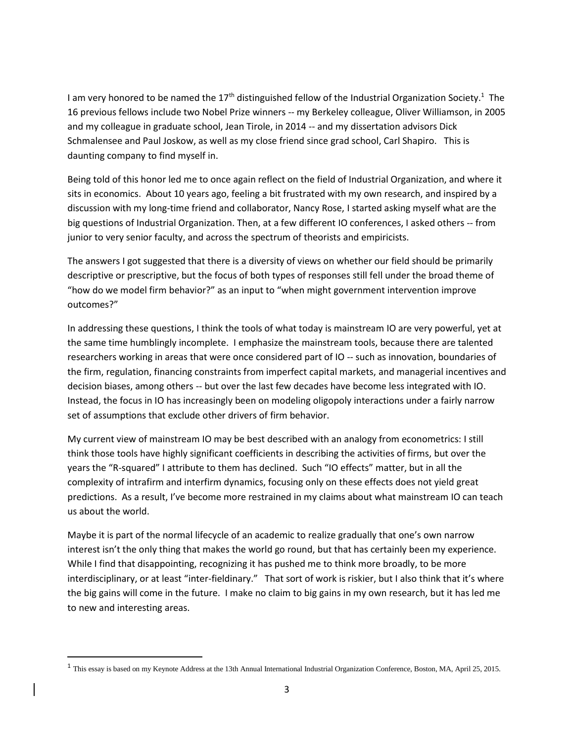I am very honored to be named the 17<sup>th</sup> distinguished fellow of the Industrial Organization Society.<sup>1</sup> The 16 previous fellows include two Nobel Prize winners -- my Berkeley colleague, Oliver Williamson, in 2005 and my colleague in graduate school, Jean Tirole, in 2014 -- and my dissertation advisors Dick Schmalensee and Paul Joskow, as well as my close friend since grad school, Carl Shapiro. This is daunting company to find myself in.

Being told of this honor led me to once again reflect on the field of Industrial Organization, and where it sits in economics. About 10 years ago, feeling a bit frustrated with my own research, and inspired by a discussion with my long-time friend and collaborator, Nancy Rose, I started asking myself what are the big questions of Industrial Organization. Then, at a few different IO conferences, I asked others -- from junior to very senior faculty, and across the spectrum of theorists and empiricists.

The answers I got suggested that there is a diversity of views on whether our field should be primarily descriptive or prescriptive, but the focus of both types of responses still fell under the broad theme of "how do we model firm behavior?" as an input to "when might government intervention improve outcomes?"

In addressing these questions, I think the tools of what today is mainstream IO are very powerful, yet at the same time humblingly incomplete. I emphasize the mainstream tools, because there are talented researchers working in areas that were once considered part of IO -- such as innovation, boundaries of the firm, regulation, financing constraints from imperfect capital markets, and managerial incentives and decision biases, among others -- but over the last few decades have become less integrated with IO. Instead, the focus in IO has increasingly been on modeling oligopoly interactions under a fairly narrow set of assumptions that exclude other drivers of firm behavior.

My current view of mainstream IO may be best described with an analogy from econometrics: I still think those tools have highly significant coefficients in describing the activities of firms, but over the years the "R-squared" I attribute to them has declined. Such "IO effects" matter, but in all the complexity of intrafirm and interfirm dynamics, focusing only on these effects does not yield great predictions. As a result, I've become more restrained in my claims about what mainstream IO can teach us about the world.

Maybe it is part of the normal lifecycle of an academic to realize gradually that one's own narrow interest isn't the only thing that makes the world go round, but that has certainly been my experience. While I find that disappointing, recognizing it has pushed me to think more broadly, to be more interdisciplinary, or at least "inter-fieldinary." That sort of work is riskier, but I also think that it's where the big gains will come in the future. I make no claim to big gains in my own research, but it has led me to new and interesting areas.

 $\overline{\phantom{a}}$ 

<sup>&</sup>lt;sup>1</sup> This essay is based on my Keynote Address at the 13th Annual International Industrial Organization Conference, Boston, MA, April 25, 2015.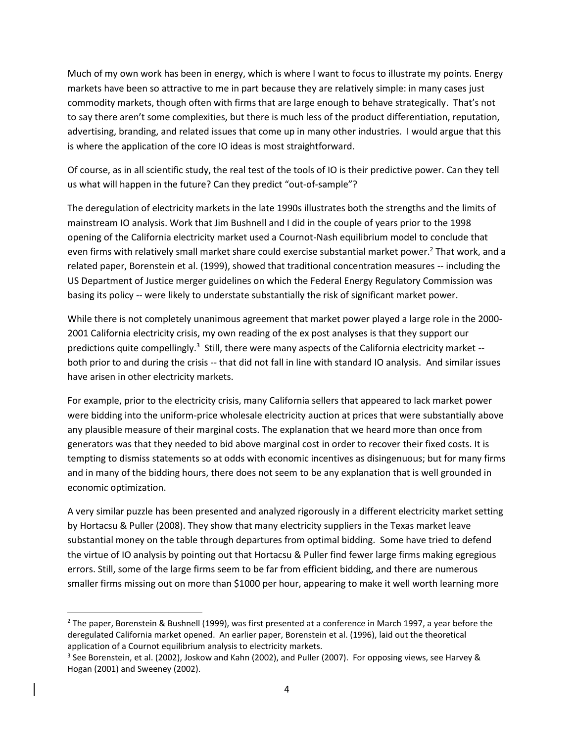Much of my own work has been in energy, which is where I want to focus to illustrate my points. Energy markets have been so attractive to me in part because they are relatively simple: in many cases just commodity markets, though often with firms that are large enough to behave strategically. That's not to say there aren't some complexities, but there is much less of the product differentiation, reputation, advertising, branding, and related issues that come up in many other industries. I would argue that this is where the application of the core IO ideas is most straightforward.

Of course, as in all scientific study, the real test of the tools of IO is their predictive power. Can they tell us what will happen in the future? Can they predict "out-of-sample"?

The deregulation of electricity markets in the late 1990s illustrates both the strengths and the limits of mainstream IO analysis. Work that Jim Bushnell and I did in the couple of years prior to the 1998 opening of the California electricity market used a Cournot-Nash equilibrium model to conclude that even firms with relatively small market share could exercise substantial market power.<sup>2</sup> That work, and a related paper, Borenstein et al. (1999), showed that traditional concentration measures -- including the US Department of Justice merger guidelines on which the Federal Energy Regulatory Commission was basing its policy -- were likely to understate substantially the risk of significant market power.

While there is not completely unanimous agreement that market power played a large role in the 2000- 2001 California electricity crisis, my own reading of the ex post analyses is that they support our predictions quite compellingly.<sup>3</sup> Still, there were many aspects of the California electricity market -both prior to and during the crisis -- that did not fall in line with standard IO analysis. And similar issues have arisen in other electricity markets.

For example, prior to the electricity crisis, many California sellers that appeared to lack market power were bidding into the uniform-price wholesale electricity auction at prices that were substantially above any plausible measure of their marginal costs. The explanation that we heard more than once from generators was that they needed to bid above marginal cost in order to recover their fixed costs. It is tempting to dismiss statements so at odds with economic incentives as disingenuous; but for many firms and in many of the bidding hours, there does not seem to be any explanation that is well grounded in economic optimization.

A very similar puzzle has been presented and analyzed rigorously in a different electricity market setting by Hortacsu & Puller (2008). They show that many electricity suppliers in the Texas market leave substantial money on the table through departures from optimal bidding. Some have tried to defend the virtue of IO analysis by pointing out that Hortacsu & Puller find fewer large firms making egregious errors. Still, some of the large firms seem to be far from efficient bidding, and there are numerous smaller firms missing out on more than \$1000 per hour, appearing to make it well worth learning more

l

<sup>&</sup>lt;sup>2</sup> The paper, Borenstein & Bushnell (1999), was first presented at a conference in March 1997, a year before the deregulated California market opened. An earlier paper, Borenstein et al. (1996), laid out the theoretical application of a Cournot equilibrium analysis to electricity markets.

<sup>&</sup>lt;sup>3</sup> See Borenstein, et al. (2002), Joskow and Kahn (2002), and Puller (2007). For opposing views, see Harvey & Hogan (2001) and Sweeney (2002).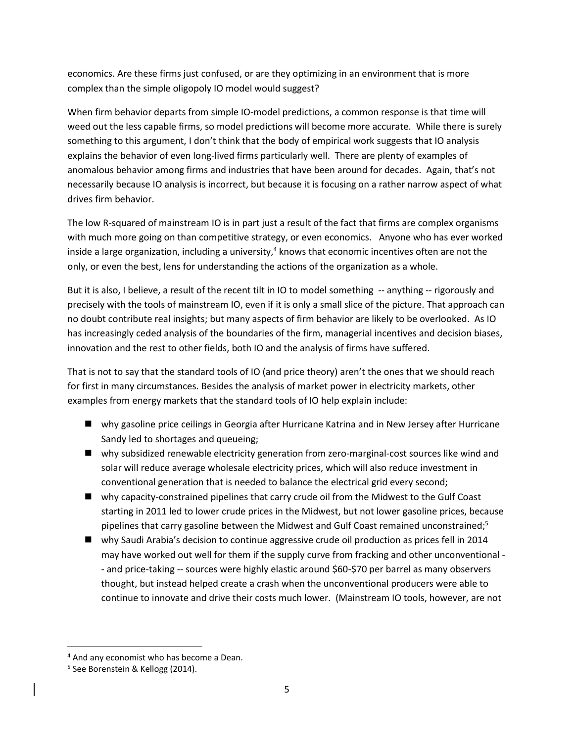economics. Are these firms just confused, or are they optimizing in an environment that is more complex than the simple oligopoly IO model would suggest?

When firm behavior departs from simple IO-model predictions, a common response is that time will weed out the less capable firms, so model predictions will become more accurate. While there is surely something to this argument, I don't think that the body of empirical work suggests that IO analysis explains the behavior of even long-lived firms particularly well. There are plenty of examples of anomalous behavior among firms and industries that have been around for decades. Again, that's not necessarily because IO analysis is incorrect, but because it is focusing on a rather narrow aspect of what drives firm behavior.

The low R-squared of mainstream IO is in part just a result of the fact that firms are complex organisms with much more going on than competitive strategy, or even economics. Anyone who has ever worked inside a large organization, including a university,<sup>4</sup> knows that economic incentives often are not the only, or even the best, lens for understanding the actions of the organization as a whole.

But it is also, I believe, a result of the recent tilt in IO to model something -- anything -- rigorously and precisely with the tools of mainstream IO, even if it is only a small slice of the picture. That approach can no doubt contribute real insights; but many aspects of firm behavior are likely to be overlooked. As IO has increasingly ceded analysis of the boundaries of the firm, managerial incentives and decision biases, innovation and the rest to other fields, both IO and the analysis of firms have suffered.

That is not to say that the standard tools of IO (and price theory) aren't the ones that we should reach for first in many circumstances. Besides the analysis of market power in electricity markets, other examples from energy markets that the standard tools of IO help explain include:

- why gasoline price ceilings in Georgia after Hurricane Katrina and in New Jersey after Hurricane Sandy led to shortages and queueing;
- why subsidized renewable electricity generation from zero-marginal-cost sources like wind and solar will reduce average wholesale electricity prices, which will also reduce investment in conventional generation that is needed to balance the electrical grid every second;
- why capacity-constrained pipelines that carry crude oil from the Midwest to the Gulf Coast starting in 2011 led to lower crude prices in the Midwest, but not lower gasoline prices, because pipelines that carry gasoline between the Midwest and Gulf Coast remained unconstrained;<sup>5</sup>
- why Saudi Arabia's decision to continue aggressive crude oil production as prices fell in 2014 may have worked out well for them if the supply curve from fracking and other unconventional - - and price-taking -- sources were highly elastic around \$60-\$70 per barrel as many observers thought, but instead helped create a crash when the unconventional producers were able to continue to innovate and drive their costs much lower. (Mainstream IO tools, however, are not

l

<sup>4</sup> And any economist who has become a Dean.

<sup>&</sup>lt;sup>5</sup> See Borenstein & Kellogg (2014).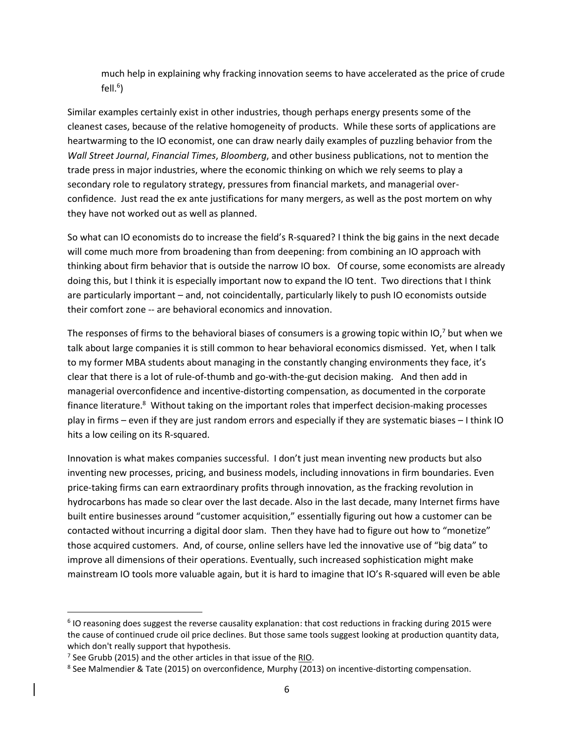much help in explaining why fracking innovation seems to have accelerated as the price of crude fell. $^6)$ 

Similar examples certainly exist in other industries, though perhaps energy presents some of the cleanest cases, because of the relative homogeneity of products. While these sorts of applications are heartwarming to the IO economist, one can draw nearly daily examples of puzzling behavior from the *Wall Street Journal*, *Financial Times*, *Bloomberg*, and other business publications, not to mention the trade press in major industries, where the economic thinking on which we rely seems to play a secondary role to regulatory strategy, pressures from financial markets, and managerial overconfidence. Just read the ex ante justifications for many mergers, as well as the post mortem on why they have not worked out as well as planned.

So what can IO economists do to increase the field's R-squared? I think the big gains in the next decade will come much more from broadening than from deepening: from combining an IO approach with thinking about firm behavior that is outside the narrow IO box. Of course, some economists are already doing this, but I think it is especially important now to expand the IO tent. Two directions that I think are particularly important – and, not coincidentally, particularly likely to push IO economists outside their comfort zone -- are behavioral economics and innovation.

The responses of firms to the behavioral biases of consumers is a growing topic within  $IO^7$  but when we talk about large companies it is still common to hear behavioral economics dismissed. Yet, when I talk to my former MBA students about managing in the constantly changing environments they face, it's clear that there is a lot of rule-of-thumb and go-with-the-gut decision making. And then add in managerial overconfidence and incentive-distorting compensation, as documented in the corporate finance literature.<sup>8</sup> Without taking on the important roles that imperfect decision-making processes play in firms – even if they are just random errors and especially if they are systematic biases – I think IO hits a low ceiling on its R-squared.

Innovation is what makes companies successful. I don't just mean inventing new products but also inventing new processes, pricing, and business models, including innovations in firm boundaries. Even price-taking firms can earn extraordinary profits through innovation, as the fracking revolution in hydrocarbons has made so clear over the last decade. Also in the last decade, many Internet firms have built entire businesses around "customer acquisition," essentially figuring out how a customer can be contacted without incurring a digital door slam. Then they have had to figure out how to "monetize" those acquired customers. And, of course, online sellers have led the innovative use of "big data" to improve all dimensions of their operations. Eventually, such increased sophistication might make mainstream IO tools more valuable again, but it is hard to imagine that IO's R-squared will even be able

l

<sup>&</sup>lt;sup>6</sup> IO reasoning does suggest the reverse causality explanation: that cost reductions in fracking during 2015 were the cause of continued crude oil price declines. But those same tools suggest looking at production quantity data, which don't really support that hypothesis.

<sup>&</sup>lt;sup>7</sup> See Grubb (2015) and the other articles in that issue of the RIO.

<sup>&</sup>lt;sup>8</sup> See Malmendier & Tate (2015) on overconfidence, Murphy (2013) on incentive-distorting compensation.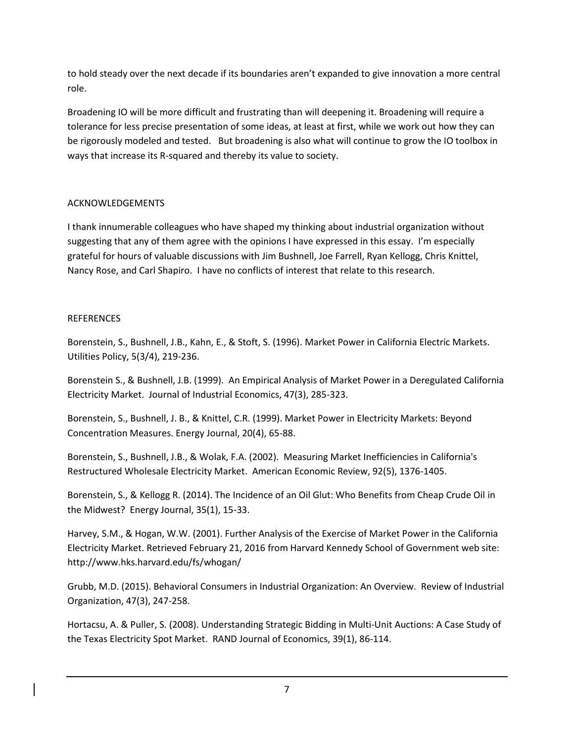to hold steady over the next decade if its boundaries aren't expanded to give innovation a more central role.

Broadening IO will be more difficult and frustrating than will deepening it. Broadening will require a tolerance for less precise presentation of some ideas, at least at first, while we work out how they can be rigorously modeled and tested. But broadening is also what will continue to grow the IO toolbox in ways that increase its R-squared and thereby its value to society.

## ACKNOWLEDGEMENTS

I thank innumerable colleagues who have shaped my thinking about industrial organization without suggesting that any of them agree with the opinions I have expressed in this essay. I'm especially grateful for hours of valuable discussions with Jim Bushnell, Joe Farrell, Ryan Kellogg, Chris Knittel, Nancy Rose, and Carl Shapiro. I have no conflicts of interest that relate to this research.

## REFERENCES

Borenstein, S., Bushnell, J.B., Kahn, E., & Stoft, S. (1996). Market Power in California Electric Markets. Utilities Policy, 5(3/4), 219-236.

Borenstein S., & Bushnell, J.B. (1999). An Empirical Analysis of Market Power in a Deregulated California Electricity Market. Journal of Industrial Economics, 47(3), 285-323.

Borenstein, S., Bushnell, J. B., & Knittel, C.R. (1999). Market Power in Electricity Markets: Beyond Concentration Measures. Energy Journal, 20(4), 65-88.

Borenstein, S., Bushnell, J.B., & Wolak, F.A. (2002). Measuring Market Inefficiencies in California's Restructured Wholesale Electricity Market. American Economic Review, 92(5), 1376-1405.

Borenstein, S., & Kellogg R. (2014). The Incidence of an Oil Glut: Who Benefits from Cheap Crude Oil in the Midwest? Energy Journal, 35(1), 15-33.

Harvey, S.M., & Hogan, W.W. (2001). Further Analysis of the Exercise of Market Power in the California Electricity Market. Retrieved February 21, 2016 from Harvard Kennedy School of Government web site: http://www.hks.harvard.edu/fs/whogan/

Grubb, M.D. (2015). Behavioral Consumers in Industrial Organization: An Overview. Review of Industrial Organization, 47(3), 247-258.

Hortacsu, A. & Puller, S. (2008). Understanding Strategic Bidding in Multi-Unit Auctions: A Case Study of the Texas Electricity Spot Market. RAND Journal of Economics, 39(1), 86-114.